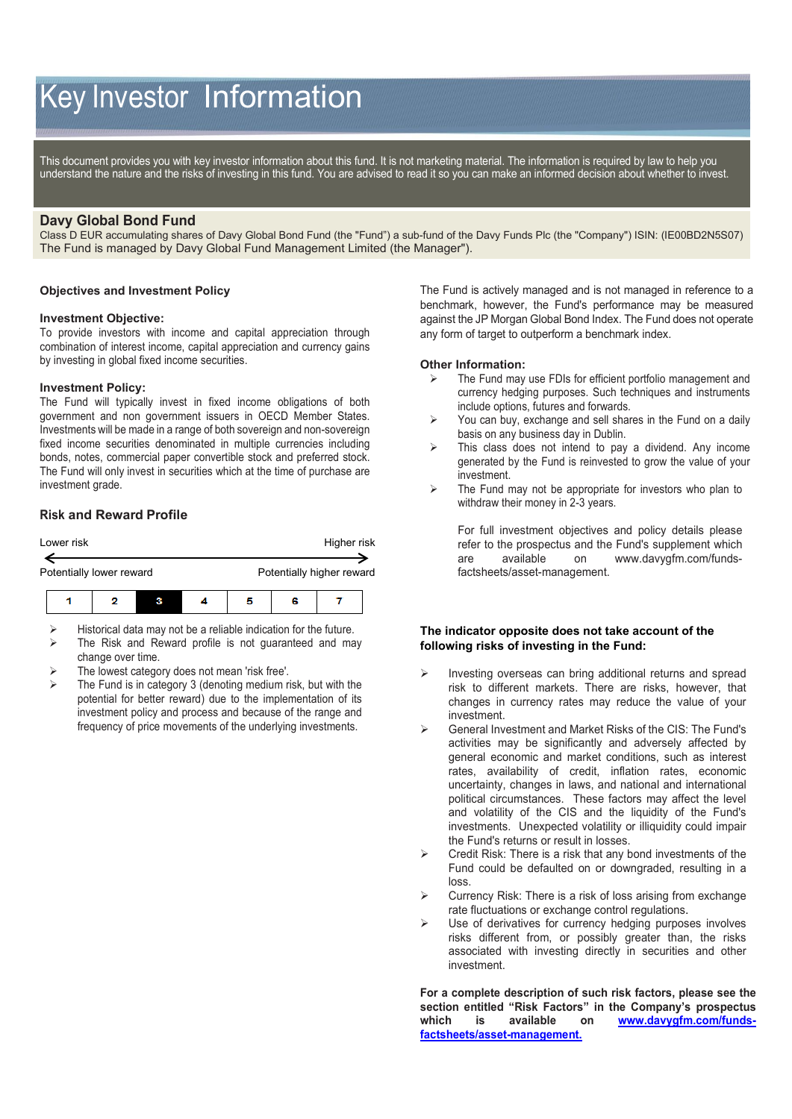# Key Investor Information

This document provides you with key investor information about this fund. It is not marketing material. The information is required by law to help you understand the nature and the risks of investing in this fund. You are advised to read it so you can make an informed decision about whether to invest.

# **Davy Global Bond Fund**

Class D EUR accumulating shares of Davy Global Bond Fund (the "Fund") a sub-fund of the Davy Funds Plc (the "Company") ISIN: (IE00BD2N5S07) The Fund is managed by Davy Global Fund Management Limited (the Manager").

#### **Objectives and Investment Policy**

#### **Investment Objective:**

To provide investors with income and capital appreciation through combination of interest income, capital appreciation and currency gains by investing in global fixed income securities.

#### **Investment Policy:**

The Fund will typically invest in fixed income obligations of both government and non government issuers in OECD Member States. Investments will be made in a range of both sovereign and non-sovereign fixed income securities denominated in multiple currencies including bonds, notes, commercial paper convertible stock and preferred stock. The Fund will only invest in securities which at the time of purchase are investment grade.

## **Risk and Reward Profile**



 Historical data may not be a reliable indication for the future.  $\triangleright$  The Risk and Reward profile is not guaranteed and may

- change over time.
- The lowest category does not mean 'risk free'.
- The Fund is in category 3 (denoting medium risk, but with the potential for better reward) due to the implementation of its investment policy and process and because of the range and frequency of price movements of the underlying investments.

The Fund is actively managed and is not managed in reference to a benchmark, however, the Fund's performance may be measured against the JP Morgan Global Bond Index. The Fund does not operate any form of target to outperform a benchmark index.

#### **Other Information:**

- The Fund may use FDIs for efficient portfolio management and currency hedging purposes. Such techniques and instruments include options, futures and forwards.
- $\triangleright$  You can buy, exchange and sell shares in the Fund on a daily basis on any business day in Dublin.
- $\triangleright$  This class does not intend to pay a dividend. Any income generated by the Fund is reinvested to grow the value of your investment.
- $\triangleright$  The Fund may not be appropriate for investors who plan to withdraw their money in 2-3 years.

For full investment objectives and policy details please refer to the prospectus and the Fund's supplement which are available on [www.davygfm.com/funds](http://www.davy.ie/)[factsheets/asset-management.](http://www.davy.ie/)

### **The indicator opposite does not take account of the following risks of investing in the Fund:**

- Investing overseas can bring additional returns and spread risk to different markets. There are risks, however, that changes in currency rates may reduce the value of your investment.
- General Investment and Market Risks of the CIS: The Fund's activities may be significantly and adversely affected by general economic and market conditions, such as interest rates, availability of credit, inflation rates, economic uncertainty, changes in laws, and national and international political circumstances. These factors may affect the level and volatility of the CIS and the liquidity of the Fund's investments. Unexpected volatility or illiquidity could impair the Fund's returns or result in losses.
- Credit Risk: There is a risk that any bond investments of the Fund could be defaulted on or downgraded, resulting in a loss.
- Currency Risk: There is a risk of loss arising from exchange rate fluctuations or exchange control regulations.
- Use of derivatives for currency hedging purposes involves risks different from, or possibly greater than, the risks associated with investing directly in securities and other investment.

**For a complete description of such risk factors, please see the section entitled "Risk Factors" in the Company's prospectus which is available on [www.davygfm.com/funds](http://www.davygfm.com/funds-factsheets/asset-management)[factsheets/asset-management.](http://www.davygfm.com/funds-factsheets/asset-management)**